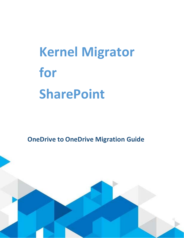# **Kernel Migrator for SharePoint**

**OneDrive to OneDrive Migration Guide**

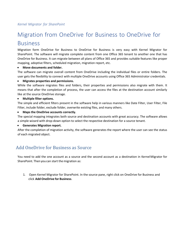# Migration from OneDrive for Business to OneDrive for Business

Migration form OneDrive for Business to OneDrive for Business is very easy with Kernel Migrator for SharePoint. The software will migrate complete content from one Office 365 tenant to another one that has OneDrive for Business. It can migrate between all plans of Office 365 and provides suitable features like proper mapping, adoptive filters, scheduled migration, migration report, etc.

#### • **Move documents and folder.**

The software can migrate overall content from OneDrive including the individual files or entire folders. The user gets the flexibility to connect with multiple OneDrive accounts using Office 365 Administrator credentials.

#### • **Migrates properties and permissions.**

While the software migrates files and folders, their properties and permissions also migrate with them. It means that after the completion of process, the user can access the files at the destination account similarly like at the source OneDrive storage.

#### • **Multiple filter options.**

The simple and efficient filters present in the software help in various manners like Date Filter, User Filter, File Filter, include folder, exclude folder, overwrite existing files, and many others.

• **Maps the OneDrive accounts correctly.**

The special mapping integrates both source and destination accounts with great accuracy. The software allows a simple wizard with drop-down option to select the respective destination for a source tenant.

#### • **Generates Migration report.**

After the completion of migration activity, the software generates the report where the user can see the status of each migrated object.

## Add OneDrive for Business as Source

You need to add the one account as a source and the second account as a destination in KernelMigrator for SharePoint. Then you can start the migration as:

1. Open Kernel Migrator for SharePoint. In the source pane, right click on OneDrive for Business and click **Add OneDrive for Business**.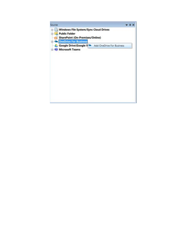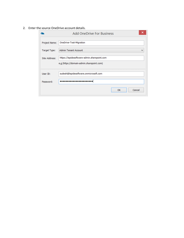2. Enter the source OneDrive account details.

|               | ×<br><b>Add OneDrive For Business</b>                                                    |
|---------------|------------------------------------------------------------------------------------------|
| Project Name: | OneDrive-Test-Migration                                                                  |
| Target Type:  | <b>Admin Tenant Account</b><br>$\checkmark$                                              |
| Site Address: | https://lepidesoftware-admin.sharepoint.com<br>e.g (https://domain-admin.sharepoint.com) |
| User ID:      | sudesh@lepidesoftware.onmicrosoft.com                                                    |
| Password:     |                                                                                          |
|               | Cancel<br><b>OK</b>                                                                      |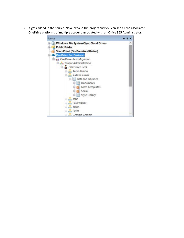3. It gets added in the source. Now, expand the project and you can see all the associated OneDrive platforms of multiple account associated with an Office 365 Administrator.

| Source                                       |  |
|----------------------------------------------|--|
| <b>Windows File System/Sync Cloud Drives</b> |  |
| <b>Public Folder</b>                         |  |
| SharePoint (On-Premises/Online)              |  |
| <b>OneDrive For Business</b>                 |  |
| <b>E vit</b> OneDrive-Test-Migration         |  |
| Frant Administration                         |  |
| OneDrive Users                               |  |
| Tarun lamba                                  |  |
| sudesh kumar                                 |  |
| illa Lists and Libraries                     |  |
| <b>Documents</b>                             |  |
| Form Templates                               |  |
| <b>ED</b> Social                             |  |
| Style Library                                |  |
| B John                                       |  |
| Paul walker                                  |  |
| <b>El-Aus</b> Jason                          |  |
| <b>El-Aus</b> Peter                          |  |
| <b>EL A. Gemma Gemma</b>                     |  |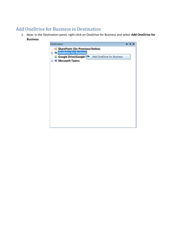## Add OneDrive for Business in Destination

1. Now, in the Destination panel, right-click on OneDrive for Business and select **Add OneDrive for Business**.

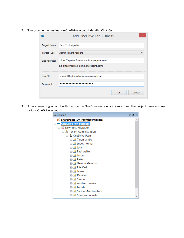2. Now provide the destination OneDrive account details. Click OK.

|               | <b>Add OneDrive For Business</b>                                                         | ×            |
|---------------|------------------------------------------------------------------------------------------|--------------|
| Project Name: | New-Test-Migration                                                                       |              |
| Target Type:  | <b>Admin Tenant Account</b>                                                              | $\checkmark$ |
| Site Address: | https://lepidesoftware-admin.sharepoint.com<br>e.g (https://domain-admin.sharepoint.com) |              |
| User ID:      | sudesh@lepidesoftware.onmicrosoft.com                                                    |              |
| Password:     |                                                                                          |              |
|               | Cancel<br><b>OK</b>                                                                      |              |

3. After connecting account with destination OneDrive section, you can expand the project name and see various OneDrive accounts.

| Destination                     | n. | × |
|---------------------------------|----|---|
| SharePoint (On-Premises/Online) |    | ⌒ |
| <b>OneDrive For Business</b>    |    |   |
| <b>ப்</b> New-Test-Migration    |    |   |
|                                 |    |   |
| <b>⊟</b> <i>D</i> neDrive Users |    |   |
| 由 <u>A</u> Tarun lamba          |    |   |
| 中心 sudesh kumar                 |    |   |
| 中心 John                         |    |   |
| 中心 Paul walker                  |    |   |
| 由 <u>A</u> Jason                |    |   |
| 由 <u>A</u> Peter                |    |   |
| 中心 Gemma Gemma                  |    |   |
| 中--A. Elie Carl                 |    |   |
| 由 <u>A</u> James                |    |   |
| 中人 Damien                       |    |   |
| 中人 Simon                        |    |   |
| 由 <u>A</u> sandeep verma        |    |   |
| 由 & Lepide                      |    |   |
| 由 A SaddamModernAuth            |    |   |
| 中心 Srinivasa Jonnala            |    |   |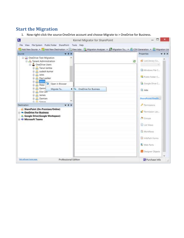### **Start the Migration**

1. Now right-click the source OneDrive account and choose Migrate to > OneDrive for Business.

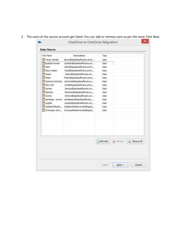|  |  |  | 2. The users of the source account get listed. You can add or remove users as per the need. Click Next. |
|--|--|--|---------------------------------------------------------------------------------------------------------|
|--|--|--|---------------------------------------------------------------------------------------------------------|

| <b>User Name</b>         | Email address            | Type                       |                   |
|--------------------------|--------------------------|----------------------------|-------------------|
| Tarun lamba              | tarun@lepidesoftware.onm | User                       |                   |
| sudesh kumar             | sudesh@lepidesoftware.on | User                       |                   |
| <b>B</b> John            | John@lepidesoftware.onmi | User                       |                   |
| <b>PE Paul walker</b>    | Paul@lepidesoftware.onmi | User                       |                   |
| Jason                    | Jason@lepidesoftware.on  | User                       |                   |
| Peter                    | Peter@lepidesoftware.onm | User.                      |                   |
| <sup>C</sup> Gemma Gemma | Gemma@lepidesoftware.o   | User                       |                   |
| Elie Carl                | Carl@lepidesoftware.onmi | <b>User</b>                |                   |
| <b>B</b> James           | James@lepidesoftware.on  | User                       |                   |
| <b>Damien</b>            | Damien@lepidesoftware.o  | User                       |                   |
| <b>PP</b> Simon          | Simon@lepidesoftware.on  | User                       |                   |
| sandeep verma            | sandeepv@lepidesoftware  | User                       |                   |
| <b>ELepide</b>           | Lepide@lepidesoftware.on | User                       |                   |
| SaddamModer              | SaddamModernAuth@lepid   | User                       |                   |
| Srinivasa Jonn           | SrinivasModernAuth@lepid | User                       |                   |
|                          |                          |                            |                   |
|                          |                          |                            |                   |
|                          |                          |                            |                   |
|                          |                          |                            |                   |
|                          |                          |                            |                   |
|                          |                          |                            |                   |
|                          |                          |                            |                   |
|                          |                          | BAdd User. <b>B</b> Remove | <b>Remove All</b> |
|                          |                          |                            |                   |
|                          |                          |                            |                   |
|                          |                          |                            |                   |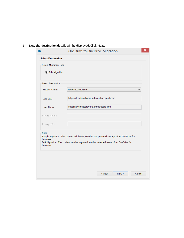3. Now the destination details will be displayed. Click Next.

|                                 | OneDrive to OneDrive Migration                                                                                                                                                       | ×      |
|---------------------------------|--------------------------------------------------------------------------------------------------------------------------------------------------------------------------------------|--------|
| <b>Select Destination</b>       |                                                                                                                                                                                      |        |
| <b>Select Migration Type</b>    |                                                                                                                                                                                      |        |
| <b>O</b> Bulk Migration         |                                                                                                                                                                                      |        |
| <b>Select Destination</b>       |                                                                                                                                                                                      |        |
| Project Name:                   | New-Test-Migration                                                                                                                                                                   | ✓      |
| Site URL:                       | https://lepidesoftware-admin.sharepoint.com                                                                                                                                          |        |
| User Name:                      | sudesh@lepidesoftware.onmicrosoft.com                                                                                                                                                |        |
| Library Name:                   |                                                                                                                                                                                      |        |
| Library URL:                    |                                                                                                                                                                                      |        |
| Note:<br>business.<br>business. | Simple Migration: The content will be migrated to the personal storage of an OneDrive for<br>Bulk Migration: The content can be migrated to all or selected users of an OneDrive for |        |
|                                 | $\leq$ Back<br>Next                                                                                                                                                                  | Cancel |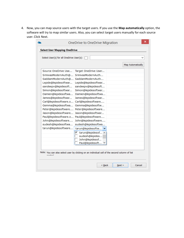4. Now, you can map source users with the target users. If you use the **Map automatically** option, the software will try to map similar users. Also, you can select target users manually for each source user. Click Next.

|                                           |                                   | <b>Map Automatically</b> |
|-------------------------------------------|-----------------------------------|--------------------------|
| Source OneDrive Use                       | Target OneDrive User              |                          |
| SrinivasModernAuth@                       | SrinivasModernAuth                |                          |
| SaddamModernAuth@                         | SaddamModernAuth                  |                          |
| Lepide@lepidesoftwar                      | Lepide@lepidesoftwar              |                          |
| sandeepv@lepidesoft                       | sandeepv@lepidesoft               |                          |
| Simon@lepidesoftwar                       | Simon@lepidesoftwar               |                          |
| Damien@lepidesoftwa                       | Damien@lepidesoftwa               |                          |
| James@lepidesoftwar                       | James@lepidesoftwar               |                          |
| Carl@lepidesoftware.o Carl@lepidesoftware |                                   |                          |
| Gemma@lepidesoftwa                        | Gemma@lepidesoftw                 |                          |
| Peter@lepidesoftware                      | Peter@lepidesoftware              |                          |
| Jason@lepidesoftware                      | Jason@lepidesoftwar               |                          |
| Paul@lepidesoftware.o                     | Paul@lepidesoftware               |                          |
| John@lepidesoftware                       | John@lepidesoftware               |                          |
| sudesh@lepidesoftwa                       | sudesh@lepidesoftwa               |                          |
| tarun@lepidesoftware                      | tarun@lepidesoftw<br>$\checkmark$ |                          |
|                                           | ⊽<br>tarun@lepidesof ^            |                          |
|                                           | sudesh@lepides<br>John@lepidesof  |                          |
|                                           | Paul@lepidesoft V                 |                          |
|                                           |                                   |                          |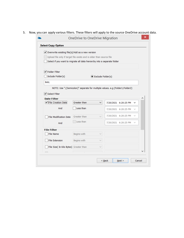5. Now, you can apply various filters. These filters will apply to the source OneDrive account data.

| √ Overwrite existing file(s)/Add as a new version                            |                    |                   |                      |              |
|------------------------------------------------------------------------------|--------------------|-------------------|----------------------|--------------|
| Upload file only if target file exists and is older than source file         |                    |                   |                      |              |
| Select if you want to migrate all data hierarchy into a separate folder      |                    |                   |                      |              |
| √ Folder Filter                                                              |                    |                   |                      |              |
| Include Folder(s)                                                            |                    | Exclude Folder(s) |                      |              |
| Bob;                                                                         |                    |                   |                      |              |
| NOTE: Use ";(Semicolon)" separate for multiple values. e.g (Folder1;Folder2) |                    |                   |                      |              |
| Select Filter                                                                |                    |                   |                      |              |
| <b>Date Filter</b>                                                           |                    |                   |                      |              |
| File Creation Date                                                           | Greater than       | v                 | 7/20/2021 6:20:25 PM | v            |
| And                                                                          | Less than          |                   | 7/20/2021 6:20:25 PM | $\checkmark$ |
| <b>File Modification Date</b>                                                | Greater than       | v                 | 7/20/2021 6:20:25 PM | $\checkmark$ |
| And                                                                          | Less than          |                   | 7/20/2021 6:20:25 PM | $\checkmark$ |
| <b>File Filter</b>                                                           |                    |                   |                      |              |
| File Name                                                                    | <b>Begins with</b> |                   |                      |              |
| <b>File Extension</b>                                                        | Begins with        |                   |                      |              |
| File Size( In Kilo Bytes) Greater than                                       |                    |                   |                      |              |
|                                                                              |                    |                   |                      |              |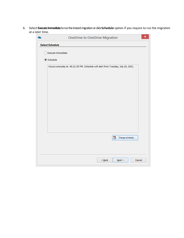6. Select **Execute Immediate**to run theinstant migrationor click **Schedule** option if you require to run the migration at a later time.

|                        | OneDrive to OneDrive Migration                                                   |
|------------------------|----------------------------------------------------------------------------------|
| <b>Select Schedule</b> |                                                                                  |
| Execute Immediate      |                                                                                  |
|                        |                                                                                  |
| Schedule               |                                                                                  |
|                        | Occurs everyday at 06:21:29 PM. Schedule will start from Tuesday, July 20, 2021. |
|                        |                                                                                  |
|                        |                                                                                  |
|                        |                                                                                  |
|                        |                                                                                  |
|                        |                                                                                  |
|                        |                                                                                  |
|                        |                                                                                  |
|                        |                                                                                  |
|                        |                                                                                  |
|                        |                                                                                  |
|                        |                                                                                  |
|                        |                                                                                  |
|                        | $\overline{\bullet}$<br>Change schedule                                          |
|                        |                                                                                  |
|                        |                                                                                  |
|                        |                                                                                  |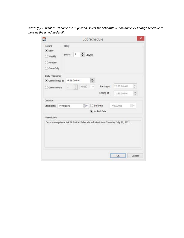**Note:** *If you want to schedule the migration, select the Schedule option and click Change schedule to provide the scheduledetails.*

| Occurs<br>$\bullet$ Daily<br>Weekly<br>Monthly<br>Once Only                      | Daily<br>$\,$ 1<br>Every: | ÷      | day(s) |                           |             |     |
|----------------------------------------------------------------------------------|---------------------------|--------|--------|---------------------------|-------------|-----|
|                                                                                  |                           |        |        |                           |             |     |
| Daily Frequency<br>Occurs once at                                                | 6:21:29 PM                |        | $\div$ |                           |             |     |
| Occurs every                                                                     | ÷<br>1,                   | Min(s) | v      | Starting at               | 12:00:00 AM |     |
|                                                                                  |                           |        |        | Ending at                 | 11:59:59 PM |     |
| Duration<br>Start Date:                                                          | 7/20/2021                 | ⊕≁     |        | End Date<br>. No End Date | 7/20/2021   | IJ۲ |
| Description                                                                      |                           |        |        |                           |             |     |
| Occurs everyday at 06:21:29 PM. Schedule will start from Tuesday, July 20, 2021. |                           |        |        |                           |             |     |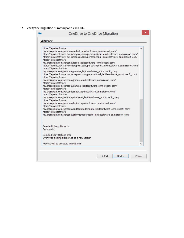7. Verify the migration summary and click OK.

|                                                                                                                                                                                                                                                                            | OneDrive to OneDrive Migration                                                                                                                                                                                                                                                                                                                                                                                                                                                                                                                                                                                                                                                                                                                                                                                                                                                                                                                                                                                                                                                                              |   |
|----------------------------------------------------------------------------------------------------------------------------------------------------------------------------------------------------------------------------------------------------------------------------|-------------------------------------------------------------------------------------------------------------------------------------------------------------------------------------------------------------------------------------------------------------------------------------------------------------------------------------------------------------------------------------------------------------------------------------------------------------------------------------------------------------------------------------------------------------------------------------------------------------------------------------------------------------------------------------------------------------------------------------------------------------------------------------------------------------------------------------------------------------------------------------------------------------------------------------------------------------------------------------------------------------------------------------------------------------------------------------------------------------|---|
| <b>Summary</b>                                                                                                                                                                                                                                                             |                                                                                                                                                                                                                                                                                                                                                                                                                                                                                                                                                                                                                                                                                                                                                                                                                                                                                                                                                                                                                                                                                                             |   |
| https://lepidesoftware-<br>https://lepidesoftware-<br>https://lepidesoftware-<br>https://lepidesoftware-<br>https://lepidesoftware-<br>https://lepidesoftware-<br>https://lepidesoftware-<br>https://lepidesoftware-<br>https://lepidesoftware-<br>https://lepidesoftware- | my.sharepoint.com/personal/sudesh_lepidesoftware_onmicrosoft_com/<br>https://lepidesoftware-my.sharepoint.com/personal/john_lepidesoftware_onmicrosoft_com/<br>https://lepidesoftware-my.sharepoint.com/personal/paul_lepidesoftware_onmicrosoft_com/<br>my.sharepoint.com/personal/jason_lepidesoftware_onmicrosoft_com/<br>https://lepidesoftware-my.sharepoint.com/personal/peter_lepidesoftware_onmicrosoft_com/<br>my.sharepoint.com/personal/gemma_lepidesoftware_onmicrosoft_com/<br>https://lepidesoftware-my.sharepoint.com/personal/carl_lepidesoftware_onmicrosoft_com/<br>my.sharepoint.com/personal/james_lepidesoftware_onmicrosoft_com/<br>my.sharepoint.com/personal/damien_lepidesoftware_onmicrosoft_com/<br>my.sharepoint.com/personal/simon_lepidesoftware_onmicrosoft_com/<br>my.sharepoint.com/personal/sandeepv_lepidesoftware_onmicrosoft_com/<br>my.sharepoint.com/personal/lepide_lepidesoftware_onmicrosoft_com/<br>my.sharepoint.com/personal/saddammodernauth_lepidesoftware_onmicrosoft_com/<br>my.sharepoint.com/personal/srinivasmodernauth_lepidesoftware_onmicrosoft_com/ | ́ |
|                                                                                                                                                                                                                                                                            |                                                                                                                                                                                                                                                                                                                                                                                                                                                                                                                                                                                                                                                                                                                                                                                                                                                                                                                                                                                                                                                                                                             |   |
| Selected Library Name is:<br><b>Documents</b>                                                                                                                                                                                                                              |                                                                                                                                                                                                                                                                                                                                                                                                                                                                                                                                                                                                                                                                                                                                                                                                                                                                                                                                                                                                                                                                                                             |   |
|                                                                                                                                                                                                                                                                            | Selected Copy Options are:<br>Overwrite existing file(s)/Add as a new version                                                                                                                                                                                                                                                                                                                                                                                                                                                                                                                                                                                                                                                                                                                                                                                                                                                                                                                                                                                                                               |   |
|                                                                                                                                                                                                                                                                            |                                                                                                                                                                                                                                                                                                                                                                                                                                                                                                                                                                                                                                                                                                                                                                                                                                                                                                                                                                                                                                                                                                             |   |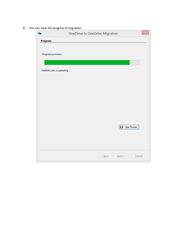8. You can view the progress of migration.

|                            | OneDrive to OneDrive Migration |             |              |        | × |
|----------------------------|--------------------------------|-------------|--------------|--------|---|
| Progress                   |                                |             |              |        |   |
|                            |                                |             |              |        |   |
| Progress summary:          |                                |             |              |        |   |
|                            |                                |             |              |        |   |
|                            |                                |             |              |        |   |
| Test0001.xlsx is uploading |                                |             |              |        |   |
|                            |                                |             |              |        |   |
|                            |                                |             |              |        |   |
|                            |                                |             |              |        |   |
|                            |                                |             |              |        |   |
|                            |                                |             |              |        |   |
|                            |                                |             |              |        |   |
|                            |                                |             |              |        |   |
|                            |                                |             |              |        |   |
|                            |                                |             | Stop Process |        |   |
|                            |                                |             |              |        |   |
|                            |                                |             |              |        |   |
|                            |                                |             |              |        |   |
|                            |                                |             |              |        |   |
|                            |                                | $\leq$ Back | $N$ ext >    | Cancel |   |
|                            |                                |             |              |        |   |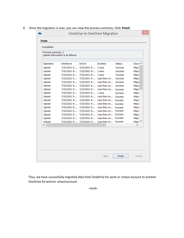9. Once the migration is over, you can view the process summary. Click Finish.

| Operation | Started at   | End at       | <b>Duration</b> | <b>Status</b>  | Sourc ^       |
|-----------|--------------|--------------|-----------------|----------------|---------------|
| Upload    | 7/22/2021 9: | 7/22/2021 9: | 2 secs          | <b>Success</b> | https:        |
| Upload    | 7/22/2021 9: | 7/22/2021 9: | 2 secs          | <b>Success</b> | https:        |
| Upload    | 7/22/2021 9: | 7/22/2021 9: | 2 secs          | <b>Success</b> | https:        |
| Upload    | 7/22/2021 9: | 7/22/2021 9: | Less than on    | <b>Success</b> | https:        |
| Upload    | 7/22/2021 9: | 7/22/2021 9: | Less than on    | <b>Success</b> | https:        |
| Upload    | 7/22/2021 9: | 7/22/2021 9: | Less than on    | <b>Success</b> | https:        |
| Upload    | 7/22/2021 9: | 7/22/2021 9: | Less than on    | <b>Success</b> | https:        |
| Upload    | 7/22/2021 9: | 7/22/2021 9: | 1 secs          | <b>Success</b> | https:        |
| Upload    | 7/22/2021 9: | 7/22/2021 9: | Less than on    | <b>Success</b> | https:        |
| Upload    | 7/22/2021 9: | 7/22/2021 9: | Less than on    | <b>Success</b> | https:        |
| Upload    | 7/22/2021 9: | 7/22/2021 9: | Less than on    | <b>Success</b> | https:        |
| Upload    | 7/22/2021 9: | 7/22/2021 9: | Less than on    | <b>Success</b> | https:        |
| Upload    | 7/22/2021 9: | 7/22/2021 9: | Less than on    | <b>Success</b> | https:        |
| Upload    | 7/22/2021 9: | 7/22/20219   | Less than on    | <b>Success</b> | https:        |
| Upload    | 7/22/2021 9: | 7/22/2021 9: | Less than on    | <b>Success</b> | https:        |
| Upload    | 7/22/2021 9: | 7/22/2021 9: | Less than on    | <b>Success</b> | https: $\vee$ |
| ≺         |              |              |                 |                | $\rightarrow$ |

Thus, we have successfully migrated data from OneDrive for work or school account to another OneDrive forwork or school account.

<end>